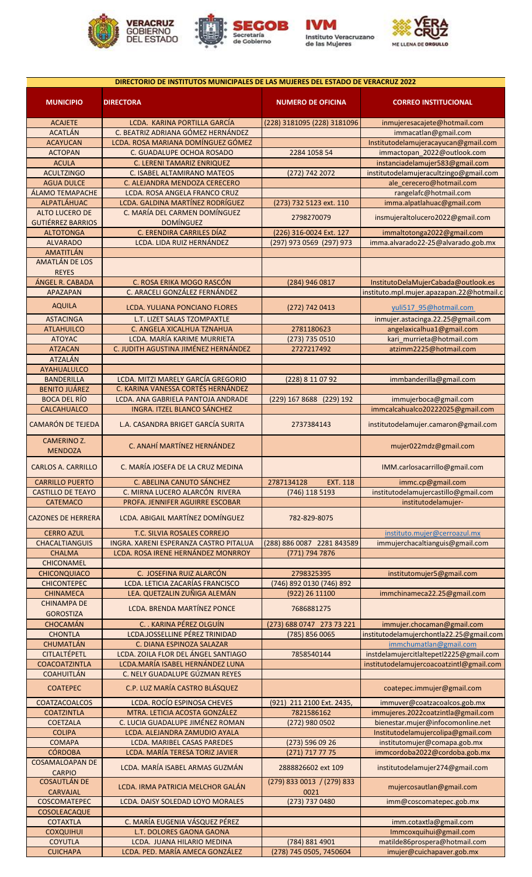







| DIRECTORIO DE INSTITUTOS MUNICIPALES DE LAS MUJERES DEL ESTADO DE VERACRUZ 2022 |                                        |                               |                                           |
|---------------------------------------------------------------------------------|----------------------------------------|-------------------------------|-------------------------------------------|
| <b>MUNICIPIO</b>                                                                | <b>DIRECTORA</b>                       | <b>NUMERO DE OFICINA</b>      | <b>CORREO INSTITUCIONAL</b>               |
| <b>ACAJETE</b>                                                                  | LCDA. KARINA PORTILLA GARCÍA           | (228) 3181095 (228) 3181096   | inmujeresacajete@hotmail.com              |
| <b>ACATLÁN</b>                                                                  | C. BEATRIZ ADRIANA GÓMEZ HERNÁNDEZ     |                               | immacatlan@gmail.com                      |
| <b>ACAYUCAN</b>                                                                 | LCDA. ROSA MARIANA DOMÍNGUEZ GÓMEZ     |                               | Institutodelamujeracayucan@gmail.com      |
| <b>ACTOPAN</b>                                                                  | C. GUADALUPE OCHOA ROSADO              | 2284 1058 54                  | immactopan 2022@outlook.com               |
| <b>ACULA</b>                                                                    | C. LERENI TAMARIZ ENRIQUEZ             |                               | instanciadelamujer583@gmail.com           |
| <b>ACULTZINGO</b>                                                               | C. ISABEL ALTAMIRANO MATEOS            | (272) 742 2072                | institutodelamujeracultzingo@gmail.com    |
| <b>AGUA DULCE</b>                                                               | C. ALEJANDRA MENDOZA CERECERO          |                               | ale cerecero@hotmail.com                  |
| ÁLAMO TEMAPACHE                                                                 | LCDA. ROSA ANGELA FRANCO CRUZ          |                               | rangelafc@hotmail.com                     |
| ALPATLÁHUAC                                                                     | LCDA. GALDINA MARTÍNEZ RODRÍGUEZ       | (273) 732 5123 ext. 110       | imma.alpatlahuac@gmail.com                |
| <b>ALTO LUCERO DE</b>                                                           | C. MARÍA DEL CARMEN DOMÍNGUEZ          |                               |                                           |
| <b>GUTIÉRREZ BARRIOS</b>                                                        | <b>DOMÍNGUEZ</b>                       | 2798270079                    | insmujeraltolucero2022@gmail.com          |
| <b>ALTOTONGA</b>                                                                | C. ERENDIRA CARRILES DÍAZ              | (226) 316-0024 Ext. 127       | immaltotonga2022@gmail.com                |
| <b>ALVARADO</b>                                                                 | LCDA. LIDA RUIZ HERNÁNDEZ              | (297) 973 0569 (297) 973      | imma.alvarado22-25@alvarado.gob.mx        |
| AMATITLÁN                                                                       |                                        |                               |                                           |
| <b>AMATLÁN DE LOS</b>                                                           |                                        |                               |                                           |
| <b>REYES</b>                                                                    |                                        |                               |                                           |
| ÁNGEL R. CABADA                                                                 | C. ROSA ERIKA MOGO RASCÓN              | (284) 946 0817                | InstitutoDelaMujerCabada@outlook.es       |
| <b>APAZAPAN</b>                                                                 | C. ARACELI GONZÁLEZ FERNÁNDEZ          |                               | instituto.mpl.mujer.apazapan.22@hotmail.c |
| <b>AQUILA</b>                                                                   |                                        |                               |                                           |
|                                                                                 | <b>LCDA. YULIANA PONCIANO FLORES</b>   | (272) 742 0413                | yuli517 95@hotmail.com                    |
| <b>ASTACINGA</b>                                                                | L.T. LIZET SALAS TZOMPAXTLE            |                               | inmujer.astacinga.22.25@gmail.com         |
| <b>ATLAHUILCO</b>                                                               | C. ANGELA XICALHUA TZNAHUA             | 2781180623                    | angelaxicalhua1@gmail.com                 |
| <b>ATOYAC</b>                                                                   | LCDA. MARÍA KARIME MURRIETA            | (273) 735 0510                | kari murrieta@hotmail.com                 |
| <b>ATZACAN</b>                                                                  | C. JUDITH AGUSTINA JIMÉNEZ HERNÁNDEZ   | 2727217492                    | atzimm2225@hotmail.com                    |
| <b>ATZALÁN</b>                                                                  |                                        |                               |                                           |
| AYAHUALULCO                                                                     |                                        |                               |                                           |
| <b>BANDERILLA</b>                                                               | LCDA. MITZI MARELY GARCÍA GREGORIO     | (228) 8 11 07 92              | immbanderilla@gmail.com                   |
| <b>BENITO JUÁREZ</b>                                                            | C. KARINA VANESSA CORTÉS HERNÁNDEZ     |                               |                                           |
| <b>BOCA DEL RÍO</b>                                                             | LCDA. ANA GABRIELA PANTOJA ANDRADE     | (229) 167 8688 (229) 192      | immujerboca@gmail.com                     |
| CALCAHUALCO                                                                     | INGRA. ITZEL BLANCO SÁNCHEZ            |                               | immcalcahualco20222025@gmail.com          |
| <b>CAMARÓN DE TEJEDA</b>                                                        | L.A. CASANDRA BRIGET GARCÍA SURITA     | 2737384143                    | institutodelamujer.camaron@gmail.com      |
| <b>CAMERINO Z.</b><br><b>MENDOZA</b>                                            | C. ANAHÍ MARTÍNEZ HERNÁNDEZ            |                               | mujer022mdz@gmail.com                     |
| <b>CARLOS A. CARRILLO</b>                                                       | C. MARÍA JOSEFA DE LA CRUZ MEDINA      |                               | IMM.carlosacarrillo@gmail.com             |
| <b>CARRILLO PUERTO</b>                                                          | C. ABELINA CANUTO SÁNCHEZ              | 2787134128<br><b>EXT. 118</b> | immc.cp@gmail.com                         |
| <b>CASTILLO DE TEAYO</b>                                                        | C. MIRNA LUCERO ALARCÓN RIVERA         | (746) 118 5193                | institutodelamujercastillo@gmail.com      |
| <b>CATEMACO</b>                                                                 | PROFA. JENNIFER AGUIRRE ESCOBAR        |                               | institutodelamujer-                       |
| <b>CAZONES DE HERRERA</b>                                                       | LCDA. ABIGAIL MARTÍNEZ DOMÍNGUEZ       | 782-829-8075                  |                                           |
| <b>CERRO AZUL</b>                                                               | T.C. SILVIA ROSALES CORREJO            |                               | instituto.mujer@cerroazul.mx              |
| <b>CHACALTIANGUIS</b>                                                           | INGRA. XARENI ESPERANZA CASTRO PITALUA | (288) 886 0087 2281 843589    | immujerchacaltianguis@gmail.com           |
| <b>CHALMA</b>                                                                   | LCDA. ROSA IRENE HERNÁNDEZ MONRROY     | (771) 794 7876                |                                           |
| <b>CHICONAMEL</b>                                                               |                                        |                               |                                           |
| <b>CHICONQUIACO</b>                                                             | C. JOSEFINA RUIZ ALARCÓN               | 2798325395                    | institutomujer5@gmail.com                 |
| <b>CHICONTEPEC</b>                                                              | LCDA. LETICIA ZACARÍAS FRANCISCO       | (746) 892 0130 (746) 892      |                                           |
| <b>CHINAMECA</b>                                                                | LEA. QUETZALIN ZUÑIGA ALEMÁN           | (922) 26 11100                | immchinameca22.25@gmail.com               |
| <b>CHINAMPA DE</b>                                                              |                                        |                               |                                           |
| <b>GOROSTIZA</b>                                                                | LCDA. BRENDA MARTÍNEZ PONCE            | 7686881275                    |                                           |
| <b>CHOCAMÁN</b>                                                                 | C. . KARINA PÉREZ OLGUÍN               | (273) 688 0747 273 73 221     | immujer.chocaman@gmail.com                |
| <b>CHONTLA</b>                                                                  | LCDA.JOSSELLINE PÉREZ TRINIDAD         | (785) 856 0065                | institutodelamujerchontla22.25@gmail.com  |
| CHUMATLÁN                                                                       | C. DIANA ESPINOZA SALAZAR              |                               | immchumatlan@gmail.com                    |
| CITLALTÉPETL                                                                    | LCDA. ZOILA FLOR DEL ÁNGEL SANTIAGO    | 7858540144                    | instdelamujercitlaltepetl2225@gmail.com   |
| COACOATZINTLA                                                                   | LCDA.MARÍA ISABEL HERNÁNDEZ LUNA       |                               | institutodelamujercoacoatzintl@gmail.com  |
| <b>COAHUITLÁN</b>                                                               | C. NELY GUADALUPE GÚZMAN REYES         |                               |                                           |
| <b>COATEPEC</b>                                                                 | C.P. LUZ MARÍA CASTRO BLÁSQUEZ         |                               | coatepec.immujer@gmail.com                |
| COATZACOALCOS                                                                   | LCDA. ROCÍO ESPINOSA CHEVES            | (921) 211 2100 Ext. 2435,     | immuver@coatzacoalcos.gob.mx              |
| <b>COATZINTLA</b>                                                               | MTRA. LETICIA ACOSTA GONZÁLEZ          | 7821586162                    | immujeres.2022coatzintla@gmail.com        |
| <b>COETZALA</b>                                                                 | C. LUCIA GUADALUPE JIMÉNEZ ROMAN       | (272) 980 0502                | bienestar.mujer@infocomonline.net         |
| <b>COLIPA</b>                                                                   | LCDA. ALEJANDRA ZAMUDIO AYALA          |                               | Institutodelamujercolipa@gmail.com        |
| <b>COMAPA</b>                                                                   | LCDA. MARIBEL CASAS PAREDES            | (273) 596 09 26               | institutomujer@comapa.gob.mx              |
| <b>CÓRDOBA</b>                                                                  | LCDA. MARÍA TERESA TORIZ JAVIER        | (271) 717 77 75               | immcordoba2022@cordoba.gob.mx             |
| <b>COSAMALOAPAN DE</b>                                                          |                                        |                               |                                           |
| <b>CARPIO</b>                                                                   | LCDA. MARÍA ISABEL ARMAS GUZMÁN        | 2888826602 ext 109            | institutodelamujer274@gmail.com           |
| <b>COSAUTLÁN DE</b>                                                             |                                        | (279) 833 0013 / (279) 833    |                                           |
| <b>CARVAJAL</b>                                                                 | LCDA. IRMA PATRICIA MELCHOR GALÁN      | 0021                          | mujercosautlan@gmail.com                  |
| COSCOMATEPEC                                                                    | LCDA. DAISY SOLEDAD LOYO MORALES       | (273) 737 0480                | imm@coscomatepec.gob.mx                   |
| COSOLEACAQUE                                                                    |                                        |                               |                                           |
| <b>COTAXTLA</b>                                                                 | C. MARÍA EUGENIA VÁSQUEZ PÉREZ         |                               | imm.cotaxtla@gmail.com                    |
| <b>COXQUIHUI</b>                                                                | L.T. DOLORES GAONA GAONA               |                               | Immcoxquihui@gmail.com                    |
| <b>COYUTLA</b>                                                                  | LCDA. JUANA HILARIO MEDINA             | (784) 881 4901                | matilde86prospera@hotmail.com             |
| <b>CUICHAPA</b>                                                                 | LCDA. PED. MARÍA AMECA GONZÁLEZ        | (278) 745 0505, 7450604       | imujer@cuichapaver.gob.mx                 |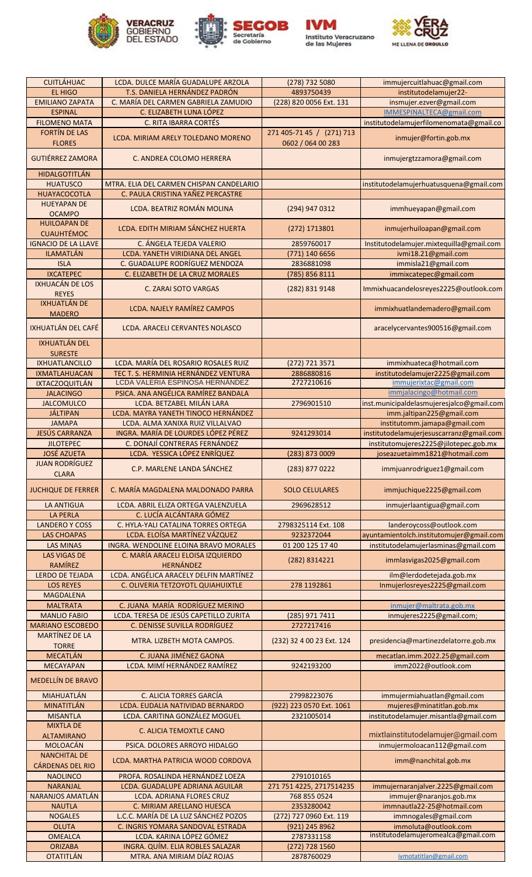









| <b>CUITLÁHUAC</b>                              | LCDA. DULCE MARÍA GUADALUPE ARZOLA                                     | (278) 732 5080               | immujercuitlahuac@gmail.com               |
|------------------------------------------------|------------------------------------------------------------------------|------------------------------|-------------------------------------------|
| EL HIGO                                        | T.S. DANIELA HERNÁNDEZ PADRÓN                                          | 4893750439                   | institutodelamujer22-                     |
| <b>EMILIANO ZAPATA</b>                         | C. MARÍA DEL CARMEN GABRIELA ZAMUDIO                                   | (228) 820 0056 Ext. 131      | insmujer.ezver@gmail.com                  |
| <b>ESPINAL</b>                                 | C. ELIZABETH LUNA LÓPEZ                                                |                              | IMMESPINALTECA@gmail.com                  |
| <b>FILOMENO MATA</b>                           | <b>C. RITA IBARRA CORTÉS</b>                                           |                              | institutodelamujerfilomenomata@gmail.co   |
| FORTÍN DE LAS                                  |                                                                        | 271 405-71 45 / (271) 713    |                                           |
| <b>FLORES</b>                                  | LCDA. MIRIAM ARELY TOLEDANO MORENO                                     | 0602 / 064 00 283            | inmujer@fortin.gob.mx                     |
|                                                |                                                                        |                              |                                           |
| <b>GUTIÉRREZ ZAMORA</b>                        | C. ANDREA COLOMO HERRERA                                               |                              | inmujergtzzamora@gmail.com                |
|                                                |                                                                        |                              |                                           |
| <b>HIDALGOTITLÁN</b>                           |                                                                        |                              |                                           |
| <b>HUATUSCO</b>                                | MTRA. ELIA DEL CARMEN CHISPAN CANDELARIO                               |                              | institutodelamujerhuatusquena@gmail.com   |
| <b>HUAYACOCOTLA</b>                            | C. PAULA CRISTINA YAÑEZ PERCASTRE                                      |                              |                                           |
| <b>HUEYAPAN DE</b>                             | LCDA. BEATRIZ ROMÁN MOLINA                                             | (294) 947 0312               | immhueyapan@gmail.com                     |
| <b>OCAMPO</b>                                  |                                                                        |                              |                                           |
| <b>HUILOAPAN DE</b>                            | LCDA. EDITH MIRIAM SÁNCHEZ HUERTA                                      | (272) 1713801                | inmujerhuiloapan@gmail.com                |
| <b>CUAUHTÉMOC</b>                              |                                                                        |                              |                                           |
| <b>IGNACIO DE LA LLAVE</b>                     | C. ÁNGELA TEJEDA VALERIO                                               | 2859760017                   | Institutodelamujer.mixtequilla@gmail.com  |
| <b>ILAMATLÁN</b>                               | LCDA. YANETH VIRIDIANA DEL ANGEL                                       | (771) 140 6656               | ivmi18.21@gmail.com                       |
| <b>ISLA</b>                                    | C. GUADALUPE RODRÍGUEZ MENDOZA                                         | 2836881098                   | immisla21@gmail.com                       |
| <b>IXCATEPEC</b>                               | C. ELIZABETH DE LA CRUZ MORALES                                        | (785) 856 8111               | immixcatepec@gmail.com                    |
| <b>IXHUACÁN DE LOS</b>                         | <b>C. ZARAI SOTO VARGAS</b>                                            | (282) 831 9148               | Immixhuacandelosreyes2225@outlook.com     |
| <b>REYES</b>                                   |                                                                        |                              |                                           |
| <b>IXHUATLÁN DE</b>                            | LCDA. NAJELY RAMÍREZ CAMPOS                                            |                              | immixhuatlandemadero@gmail.com            |
| <b>MADERO</b>                                  |                                                                        |                              |                                           |
| IXHUATLÁN DEL CAFÉ                             | LCDA. ARACELI CERVANTES NOLASCO                                        |                              | aracelycervantes900516@gmail.com          |
|                                                |                                                                        |                              |                                           |
| <b>IXHUATLÁN DEL</b>                           |                                                                        |                              |                                           |
| <b>SURESTE</b>                                 |                                                                        |                              |                                           |
| <b>IXHUATLANCILLO</b>                          | LCDA. MARÍA DEL ROSARIO ROSALES RUIZ                                   | (272) 721 3571               | immixhuateca@hotmail.com                  |
| <b>IXMATLAHUACAN</b>                           | TEC T. S. HERMINIA HERNÁNDEZ VENTURA                                   | 2886880816                   | institutodelamujer2225@gmail.com          |
| <b>IXTACZOQUITLÁN</b>                          | LCDA VALERIA ESPINOSA HERNÁNDEZ                                        | 2727210616                   | immujerixtac@gmail.com                    |
| <b>JALACINGO</b>                               | PSICA. ANA ANGÉLICA RAMÍREZ BANDALA                                    |                              | immjalacingo@hotmail.com                  |
| <b>JALCOMULCO</b>                              | LCDA. BETZABEL MILÁN LARA                                              | 2796901510                   | inst.municipaldelasmujeresjalco@gmail.com |
| JÁLTIPAN                                       | LCDA. MAYRA YANETH TINOCO HERNÁNDEZ                                    |                              | imm.jaltipan225@gmail.com                 |
| <b>JAMAPA</b>                                  | LCDA. ALMA XANIXA RUIZ VILLALVAO                                       |                              | institutomm.jamapa@gmail.com              |
| JESÚS CARRANZA                                 | INGRA. MARÍA DE LOURDES LÓPEZ PÉREZ                                    | 9241293014                   | institutodelamujerjesuscarranz@gmail.com  |
| <b>JILOTEPEC</b>                               | C. DONAJÍ CONTRERAS FERNÁNDEZ                                          |                              | institutomujeres2225@jilotepec.gob.mx     |
| <b>JOSÉ AZUETA</b>                             | LCDA. YESSICA LÓPEZ ENRÍQUEZ                                           | (283) 873 0009               | joseazuetaimm1821@hotmail.com             |
| <b>JUAN RODRÍGUEZ</b><br><b>CLARA</b>          | C.P. MARLENE LANDA SANCHEZ                                             | (283) 877 0222               | immjuanrodriguez1@gmail.com               |
| <b>JUCHIQUE DE FERRER</b>                      | C. MARÍA MAGDALENA MALDONADO PARRA                                     | <b>SOLO CELULARES</b>        | immjuchique2225@gmail.com                 |
| <b>LA ANTIGUA</b>                              | LCDA. ABRIL ELIZA ORTEGA VALENZUELA                                    | 2969628512                   | inmujerlaantigua@gmail.com                |
| <b>LA PERLA</b>                                | C. LUCÍA ALCÁNTARA GÓMEZ                                               |                              |                                           |
| <b>LANDERO Y COSS</b>                          | C. HYLA-YALI CATALINA TORRES ORTEGA                                    | 2798325114 Ext. 108          | landeroycoss@outlook.com                  |
| <b>LAS CHOAPAS</b>                             | LCDA. ELOÍSA MARTÍNEZ VÁZQUEZ                                          | 9232372044                   | ayuntamientolch.institutomujer@gmail.com  |
| <b>LAS MINAS</b>                               | INGRA. WENDOLINE ELOINA BRAVO MORALES                                  | 01 200 125 17 40             | institutodelamujerlasminas@gmail.com      |
| <b>LAS VIGAS DE</b>                            | C. MARÍA ARACELI ELOISA IZQUIERDO                                      | (282) 8314221                | immlasvigas2025@gmail.com                 |
| RAMÍREZ                                        | <b>HERNÁNDEZ</b>                                                       |                              |                                           |
| <b>LERDO DE TEJADA</b>                         | LCDA. ANGÉLICA ARACELY DELFIN MARTÍNEZ                                 |                              | ilm@lerdodetejada.gob.mx                  |
| <b>LOS REYES</b>                               | C. OLIVERIA TETZOYOTL QUIAHUIXTLE                                      | 278 1192861                  | Inmujerlosreyes2225@gmail.com             |
| <b>MAGDALENA</b>                               |                                                                        |                              |                                           |
| <b>MALTRATA</b>                                | C. JUANA MARÍA RODRÍGUEZ MERINO                                        |                              | inmujer@maltrata.gob.mx                   |
| <b>MANLIO FABIO</b><br><b>MARIANO ESCOBEDO</b> | LCDA. TERESA DE JESÚS CAPETILLO ZURITA<br>C. DENISSE SUVILLA RODRÍGUEZ | (285) 971 7411<br>2727217416 | inmujeres2225@gmail.com;                  |
| <b>MARTÍNEZ DE LA</b>                          |                                                                        |                              |                                           |
| <b>TORRE</b>                                   | MTRA. LIZBETH MOTA CAMPOS.                                             | (232) 32 4 00 23 Ext. 124    | presidencia@martinezdelatorre.gob.mx      |
| MECATLÁN                                       | C. JUANA JIMÉNEZ GAONA                                                 |                              | mecatlan.imm.2022.25@gmail.com            |
| <b>MECAYAPAN</b>                               | LCDA. MIMÍ HERNÁNDEZ RAMÍREZ                                           | 9242193200                   | imm2022@outlook.com                       |
|                                                |                                                                        |                              |                                           |
| <b>MEDELLÍN DE BRAVO</b>                       |                                                                        |                              |                                           |
| <b>MIAHUATLÁN</b>                              | C. ALICIA TORRES GARCÍA                                                | 27998223076                  | immujermiahuatlan@gmail.com               |
| <b>MINATITLÁN</b>                              | LCDA. EUDALIA NATIVIDAD BERNARDO                                       | (922) 223 0570 Ext. 1061     | mujeres@minatitlan.gob.mx                 |
| <b>MISANTLA</b>                                | LCDA. CARITINA GONZÁLEZ MOGUEL                                         | 2321005014                   | institutodelamujer.misantla@gmail.com     |
| <b>MIXTLA DE</b>                               | C. ALICIA TEMOXTLE CANO                                                |                              |                                           |
| <b>ALTAMIRANO</b>                              |                                                                        |                              | mixtlainstitutodelamujer@gmail.com        |
| MOLOACÁN                                       | PSICA. DOLORES ARROYO HIDALGO                                          |                              | inmujermoloacan112@gmail.com              |
| <b>NANCHITAL DE</b>                            | LCDA. MARTHA PATRICIA WOOD CORDOVA                                     |                              | imm@nanchital.gob.mx                      |
| <b>CÁRDENAS DEL RIO</b>                        |                                                                        |                              |                                           |
| <b>NAOLINCO</b>                                | PROFA. ROSALINDA HERNÁNDEZ LOEZA                                       | 2791010165                   |                                           |
| <b>NARANJAL</b>                                | LCDA. GUADALUPE ADRIANA AGUILAR                                        | 271 751 4225, 2717514235     | immujernaranjalver.2225@gmail.com         |
| NARANJOS AMATLÁN                               | <b>LCDA. ADRIANA FLORES CRUZ</b>                                       | 768 855 0524                 | immujer@naranjos.gob.mx                   |
| <b>NAUTLA</b>                                  | C. MIRIAM ARELLANO HUESCA                                              | 2353280042                   | immnautla22-25@hotmail.com                |
| <b>NOGALES</b>                                 | L.C.C. MARÍA DE LA LUZ SÁNCHEZ POZOS                                   | (272) 727 0960 Ext. 119      | immnogales@gmail.com                      |
| <b>OLUTA</b>                                   | C. INGRIS YOMARA SANDOVAL ESTRADA                                      | (921) 245 8962               | immoluta@outlook.com                      |
| <b>OMEALCA</b>                                 | LCDA. KARINA LÓPEZ GÓMEZ                                               | 2787331158                   | institutodelamujeromealca@gmail.com       |
| <b>ORIZABA</b>                                 | INGRA. QUÍM. ELIA ROBLES SALAZAR                                       | (272) 728 1560               |                                           |
| <b>OTATITLÁN</b>                               | MTRA. ANA MIRIAM DÍAZ ROJAS                                            | 2878760029                   | ivmotatitlan@gmail.com                    |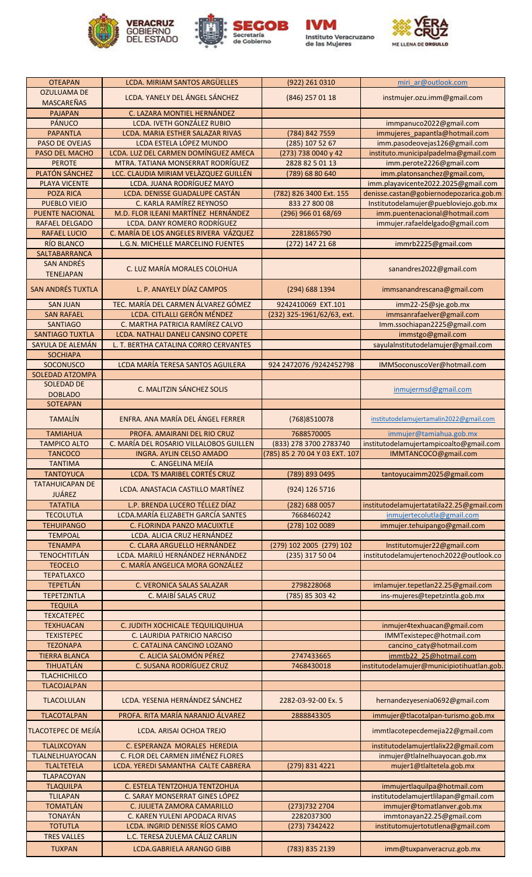







| <b>OTEAPAN</b>                        | LCDA. MIRIAM SANTOS ARGÜELLES                                            | (922) 261 0310                    | miri ar@outlook.com                                                     |
|---------------------------------------|--------------------------------------------------------------------------|-----------------------------------|-------------------------------------------------------------------------|
| <b>OZULUAMA DE</b>                    | LCDA. YANELY DEL ÁNGEL SÁNCHEZ                                           | (846) 257 01 18                   | instmujer.ozu.imm@gmail.com                                             |
| <b>MASCAREÑAS</b>                     |                                                                          |                                   |                                                                         |
| <b>PAJAPAN</b>                        | C. LAZARA MONTIEL HERNÁNDEZ                                              |                                   |                                                                         |
| PÁNUCO                                | LCDA. IVETH GONZÁLEZ RUBIO                                               |                                   | immpanuco2022@gmail.com                                                 |
| <b>PAPANTLA</b><br>PASO DE OVEJAS     | LCDA. MARIA ESTHER SALAZAR RIVAS<br>LCDA ESTELA LÓPEZ MUNDO              | (784) 842 7559<br>(285) 107 52 67 | immujeres_papantla@hotmail.com                                          |
| PASO DEL MACHO                        | LCDA. LUZ DEL CARMEN DOMÍNGUEZ AMECA                                     | (273) 738 0040 y 42               | imm.pasodeovejas126@gmail.com<br>instituto.municipalpadelma@gmail.com   |
| <b>PEROTE</b>                         | MTRA. TATIANA MONSERRAT RODRÍGUEZ                                        | 2828 82 5 01 13                   | imm.perote2226@gmail.com                                                |
| PLATÓN SÁNCHEZ                        | LCC. CLAUDIA MIRIAM VELÀZQUEZ GUILLÉN                                    | (789) 68 80 640                   | imm.platonsanchez@gmail.com,                                            |
| <b>PLAYA VICENTE</b>                  | LCDA. JUANA RODRÍGUEZ MAYO                                               |                                   | imm.playavicente2022.2025@gmail.com                                     |
| <b>POZA RICA</b>                      | LCDA. DENISSE GUADALUPE CASTÁN                                           | (782) 826 3400 Ext. 155           | denisse.castan@gobiernodepozarica.gob.m                                 |
| PUEBLO VIEJO                          | C. KARLA RAMÍREZ REYNOSO                                                 | 833 27 800 08                     | Institutodelamujer@puebloviejo.gob.mx                                   |
| <b>PUENTE NACIONAL</b>                | M.D. FLOR ILEANI MARTÍNEZ HERNÁNDEZ                                      | (296) 966 01 68/69                | imm.puentenacional@hotmail.com                                          |
| <b>RAFAEL DELGADO</b>                 | LCDA. DANY ROMERO RODRÍGUEZ                                              |                                   | immujer.rafaeldelgado@gmail.com                                         |
| <b>RAFAEL LUCIO</b>                   | C. MARÍA DE LOS ANGELES RIVERA VÁZQUEZ                                   | 2281865790                        |                                                                         |
| RÍO BLANCO                            | L.G.N. MICHELLE MARCELINO FUENTES                                        | (272) 147 21 68                   | immrb2225@gmail.com                                                     |
| SALTABARRANCA<br><b>SAN ANDRÉS</b>    |                                                                          |                                   |                                                                         |
| <b>TENEJAPAN</b>                      | C. LUZ MARÍA MORALES COLOHUA                                             |                                   | sanandres2022@gmail.com                                                 |
|                                       |                                                                          |                                   |                                                                         |
| <b>SAN ANDRÉS TUXTLA</b>              | L. P. ANAYELY DÍAZ CAMPOS                                                | (294) 688 1394                    | immsanandrescana@gmail.com                                              |
| <b>SAN JUAN</b>                       | TEC. MARÍA DEL CARMEN ÁLVAREZ GÓMEZ                                      | 9242410069 EXT.101                | imm22-25@sje.gob.mx                                                     |
| <b>SAN RAFAEL</b>                     | LCDA. CITLALLI GERÓN MÉNDEZ                                              | (232) 325-1961/62/63, ext.        | immsanrafaelver@gmail.com                                               |
| <b>SANTIAGO</b>                       | C. MARTHA PATRICIA RAMÍREZ CALVO                                         |                                   | Imm.ssochiapan2225@gmail.com                                            |
| SANTIAGO TUXTLA                       | LCDA. NATHALI DANELI CANSINO COPETE                                      |                                   | immstgo@gmail.com                                                       |
| SAYULA DE ALEMÁN                      | L. T. BERTHA CATALINA CORRO CERVANTES                                    |                                   | sayulalnstitutodelamujer@gmail.com                                      |
| <b>SOCHIAPA</b>                       |                                                                          |                                   |                                                                         |
| SOCONUSCO                             | LCDA MARÍA TERESA SANTOS AGUILERA                                        | 924 2472076 /9242452798           | IMMSoconuscoVer@hotmail.com                                             |
| SOLEDAD ATZOMPA                       |                                                                          |                                   |                                                                         |
| <b>SOLEDAD DE</b>                     | C. MALITZIN SÁNCHEZ SOLIS                                                |                                   | inmujermsd@gmail.com                                                    |
| <b>DOBLADO</b><br><b>SOTEAPAN</b>     |                                                                          |                                   |                                                                         |
|                                       |                                                                          |                                   |                                                                         |
| <b>TAMALÍN</b>                        | ENFRA. ANA MARÍA DEL ÁNGEL FERRER                                        | (768) 8510078                     | institutodelamujertamalin2022@gmail.com                                 |
| <b>TAMIAHUA</b>                       | PROFA. AMAIRANI DEL RIO CRUZ                                             | 7688570005                        | immujer@tamiahua.gob.mx                                                 |
| <b>TAMPICO ALTO</b>                   | C. MARÍA DEL ROSARIO VILLALOBOS GUILLEN                                  | (833) 278 3700 2783740            | institutodelamujertampicoalto@gmail.com                                 |
| <b>TANCOCO</b>                        | <b>INGRA. AYLIN CELSO AMADO</b>                                          | (785) 85 2 70 04 Y 03 EXT. 107    | IMMTANCOCO@gmail.com                                                    |
| <b>TANTIMA</b>                        | C. ANGELINA MEJÍA                                                        |                                   |                                                                         |
| <b>TANTOYUCA</b>                      | LCDA. TS MARIBEL CORTÉS CRUZ                                             | (789) 893 0495                    | tantoyucaimm2025@gmail.com                                              |
| <b>TATAHUICAPAN DE</b>                | LCDA, ANASTACIA CASTILLO MARTÍNEZ                                        | (924) 126 5716                    |                                                                         |
| <b>JUÁREZ</b>                         |                                                                          |                                   |                                                                         |
| <b>TATATILA</b><br><b>TECOLUTLA</b>   | L.P. BRENDA LUCERO TÉLLEZ DÍAZ<br>LCDA.MARÍA ELIZABETH GARCÍA SANTES     | (282) 688 0057<br>7668460242      | institutodelamujertatatila22.25@gmail.com<br>inmujertecolutla@gmail.com |
| <b>TEHUIPANGO</b>                     | C. FLORINDA PANZO MACUIXTLE                                              | (278) 102 0089                    | immujer.tehuipango@gmail.com                                            |
| <b>TEMPOAL</b>                        | LCDA. ALICIA CRUZ HERNÁNDEZ                                              |                                   |                                                                         |
| <b>TENAMPA</b>                        | C. CLARA ARGUELLO HERNÁNDEZ                                              | (279) 102 2005 (279) 102          | Institutomujer22@gmail.com                                              |
| <b>TENOCHTITLÁN</b>                   | LCDA. MARILÚ HERNÁNDEZ HERNÁNDEZ                                         | $(235)$ 317 50 04                 | institutodelamujertenoch2022@outlook.co                                 |
| <b>TEOCELO</b>                        | C. MARÍA ANGELICA MORA GONZÁLEZ                                          |                                   |                                                                         |
| <b>TEPATLAXCO</b>                     |                                                                          |                                   |                                                                         |
| <b>TEPETLÁN</b>                       | C. VERONICA SALAS SALAZAR                                                | 2798228068                        | imlamujer.tepetlan22.25@gmail.com                                       |
| <b>TEPETZINTLA</b>                    | C. MAIBÍ SALAS CRUZ                                                      | (785) 85 303 42                   | ins-mujeres@tepetzintla.gob.mx                                          |
| <b>TEQUILA</b>                        |                                                                          |                                   |                                                                         |
| <b>TEXCATEPEC</b><br><b>TEXHUACAN</b> | C. JUDITH XOCHICALE TEQUILIQUIHUA                                        |                                   | inmujer4texhuacan@gmail.com                                             |
| <b>TEXISTEPEC</b>                     |                                                                          |                                   |                                                                         |
| <b>TEZONAPA</b>                       |                                                                          |                                   |                                                                         |
|                                       | C. LAURIDIA PATRICIO NARCISO<br>C. CATALINA CANCINO LOZANO               |                                   | IMMTexistepec@hotmail.com                                               |
| <b>TIERRA BLANCA</b>                  | C. ALICIA SALOMÓN PÉREZ                                                  | 2747433665                        | cancino_caty@hotmail.com<br>immtb22_25@hotmail.com                      |
| TIHUATLÁN                             | C. SUSANA RODRÍGUEZ CRUZ                                                 | 7468430018                        | institutodelamujer@municipiotihuatlan.gob.                              |
| <b>TLACHICHILCO</b>                   |                                                                          |                                   |                                                                         |
| <b>TLACOJALPAN</b>                    |                                                                          |                                   |                                                                         |
| <b>TLACOLULAN</b>                     | LCDA. YESENIA HERNÁNDEZ SÁNCHEZ                                          | 2282-03-92-00 Ex. 5               | hernandezyesenia0692@gmail.com                                          |
|                                       |                                                                          |                                   |                                                                         |
| <b>TLACOTALPAN</b>                    | PROFA. RITA MARÍA NARANJO ÁLVAREZ                                        | 2888843305                        | immujer@tlacotalpan-turismo.gob.mx                                      |
| TLACOTEPEC DE MEJÍA                   | LCDA. ARISAI OCHOA TREJO                                                 |                                   | immtlacotepecdemejia22@gmail.com                                        |
|                                       |                                                                          |                                   |                                                                         |
| <b>TLALIXCOYAN</b>                    | C. ESPERANZA MORALES HEREDIA                                             |                                   | institutodelamujertlalix22@gmail.com                                    |
| TLALNELHUAYOCAN<br><b>TLALTETELA</b>  | C. FLOR DEL CARMEN JIMÉNEZ FLORES<br>LCDA. YEREDI SAMANTHA CALTE CABRERA | (279) 831 4221                    | inmujer@tlalnelhuayocan.gob.mx<br>mujer1@tlaltetela.gob.mx              |
| <b>TLAPACOYAN</b>                     |                                                                          |                                   |                                                                         |
| <b>TLAQUILPA</b>                      | C. ESTELA TENTZOHUA TENTZOHUA                                            |                                   | immujertlaquilpa@hotmail.com                                            |
| <b>TLILAPAN</b>                       | C. SARAY MONSERRAT GINES LÓPEZ                                           |                                   | institutodelamujertlilapan@gmail.com                                    |
| <b>TOMATLÁN</b>                       | C. JULIETA ZAMORA CAMARILLO                                              | (273) 732 2704                    | immujer@tomatlanver.gob.mx                                              |
| <b>TONAYÁN</b>                        | C. KAREN YULENI APODACA RIVAS                                            | 2282037300                        | immtonayan22.25@gmail.com                                               |
| <b>TOTUTLA</b>                        | LCDA. INGRID DENISSE RÍOS CAMO                                           | (273) 7342422                     | institutomujertotutlena@gmail.com                                       |
| <b>TRES VALLES</b><br><b>TUXPAN</b>   | L.C. TERESA ZULEMA CÁLIZ CARLIN<br><b>LCDA.GABRIELA ARANGO GIBB</b>      | (783) 835 2139                    | imm@tuxpanveracruz.gob.mx                                               |